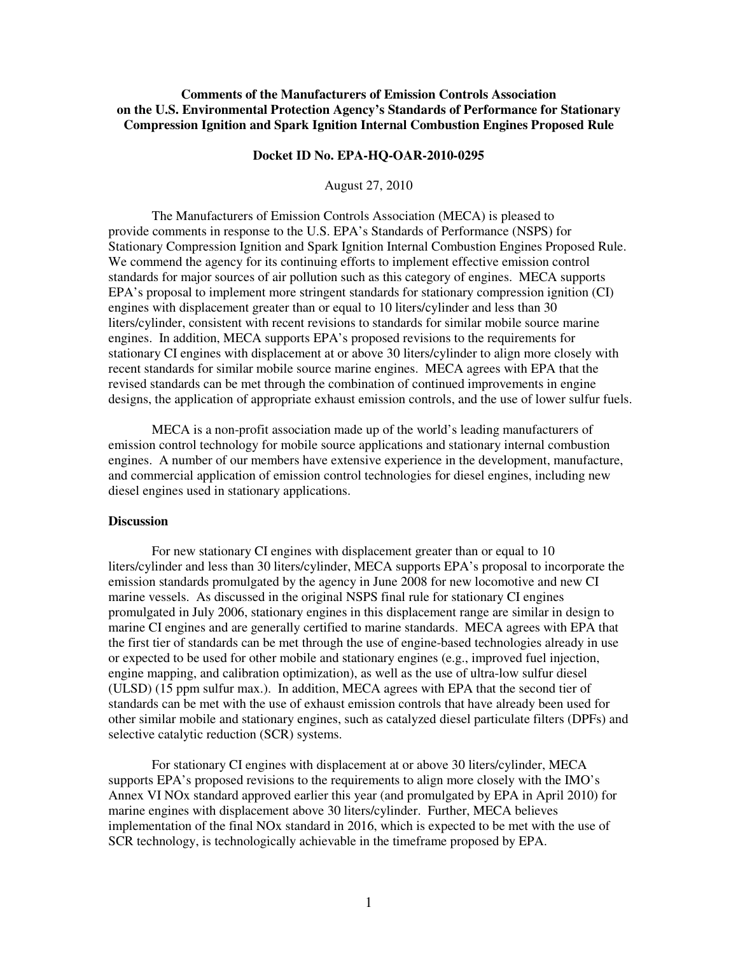## **Comments of the Manufacturers of Emission Controls Association on the U.S. Environmental Protection Agency's Standards of Performance for Stationary Compression Ignition and Spark Ignition Internal Combustion Engines Proposed Rule**

## **Docket ID No. EPA-HQ-OAR-2010-0295**

August 27, 2010

The Manufacturers of Emission Controls Association (MECA) is pleased to provide comments in response to the U.S. EPA's Standards of Performance (NSPS) for Stationary Compression Ignition and Spark Ignition Internal Combustion Engines Proposed Rule. We commend the agency for its continuing efforts to implement effective emission control standards for major sources of air pollution such as this category of engines. MECA supports EPA's proposal to implement more stringent standards for stationary compression ignition (CI) engines with displacement greater than or equal to 10 liters/cylinder and less than 30 liters/cylinder, consistent with recent revisions to standards for similar mobile source marine engines. In addition, MECA supports EPA's proposed revisions to the requirements for stationary CI engines with displacement at or above 30 liters/cylinder to align more closely with recent standards for similar mobile source marine engines. MECA agrees with EPA that the revised standards can be met through the combination of continued improvements in engine designs, the application of appropriate exhaust emission controls, and the use of lower sulfur fuels.

MECA is a non-profit association made up of the world's leading manufacturers of emission control technology for mobile source applications and stationary internal combustion engines. A number of our members have extensive experience in the development, manufacture, and commercial application of emission control technologies for diesel engines, including new diesel engines used in stationary applications.

## **Discussion**

For new stationary CI engines with displacement greater than or equal to 10 liters/cylinder and less than 30 liters/cylinder, MECA supports EPA's proposal to incorporate the emission standards promulgated by the agency in June 2008 for new locomotive and new CI marine vessels. As discussed in the original NSPS final rule for stationary CI engines promulgated in July 2006, stationary engines in this displacement range are similar in design to marine CI engines and are generally certified to marine standards. MECA agrees with EPA that the first tier of standards can be met through the use of engine-based technologies already in use or expected to be used for other mobile and stationary engines (e.g., improved fuel injection, engine mapping, and calibration optimization), as well as the use of ultra-low sulfur diesel (ULSD) (15 ppm sulfur max.). In addition, MECA agrees with EPA that the second tier of standards can be met with the use of exhaust emission controls that have already been used for other similar mobile and stationary engines, such as catalyzed diesel particulate filters (DPFs) and selective catalytic reduction (SCR) systems.

 For stationary CI engines with displacement at or above 30 liters/cylinder, MECA supports EPA's proposed revisions to the requirements to align more closely with the IMO's Annex VI NOx standard approved earlier this year (and promulgated by EPA in April 2010) for marine engines with displacement above 30 liters/cylinder. Further, MECA believes implementation of the final NOx standard in 2016, which is expected to be met with the use of SCR technology, is technologically achievable in the timeframe proposed by EPA.